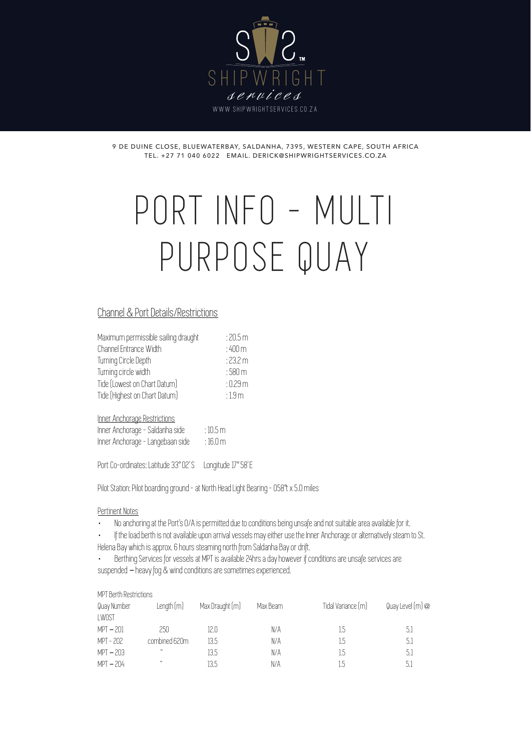

9 DE DUINE CLOSE, BLUEWATERBAY, SALDANHA, 7395, WESTERN CAPE, SOUTH AFRICA TEL. +27 71 040 6022 EMAIL. DERICK@SHIPWRIGHTSERVICES.CO.ZA

# PORT INFO - MULTI PURPOSE QUAY

## Channel & Port Details/Restrictions

| Maximum permissible sailing draught | :20.5m              |
|-------------------------------------|---------------------|
| Channel Entrance Width              | $:400 \mathrm{m}$   |
| Turning Circle Depth                | :23.2 m             |
| Turning circle width                | $:580 \,\mathrm{m}$ |
| Tide (Lowest on Chart Datum)        | $:0.29 \, \text{m}$ |
| Tide (Highest on Chart Datum)       | :1.9 <sub>m</sub>   |
|                                     |                     |

Inner Anchorage Restrictions

| Inner Anchorage - Saldanha side  | $:10.5\,\mathrm{m}$ |
|----------------------------------|---------------------|
| Inner Anchorage - Langebaan side | $:16.0 \text{ m}$   |

Port Co-ordinates: Latitude 33° 02' S Longitude 17° 58' E

Pilot Station: Pilot boarding ground - at North Head Light Bearing - 058°t x 5.0 miles

#### Pertinent Notes

- · No anchoring at the Port's O/A is permitted due to conditions being unsafe and not suitable area available for it.
- · If the load berth is not available upon arrival vessels may either use the Inner Anchorage or alternatively steam to St.
- Helena Bay which is approx. 6 hours steaming north from Saldanha Bay or drift.
- Berthing Services for vessels at MPT is available 24hrs a day however if conditions are unsafe services are suspended – heavy fog & wind conditions are sometimes experienced.

| MPT Berth Restrictions |                                              |                 |          |                    |                |
|------------------------|----------------------------------------------|-----------------|----------|--------------------|----------------|
| Quay Number            | Length(m)                                    | Max Draught (m) | Max Beam | Tidal Variance (m) | Quay Level(m)@ |
| LWOST                  |                                              |                 |          |                    |                |
| $MPT - 201$            | 250                                          | 12.0            | N/A      | 1.5                | 5.1            |
| MPT - 202              | combined 620m                                | 13.5            | N/A      | 1.5                | 5.1            |
| $MPT - 203$            | $\boldsymbol{\epsilon}\boldsymbol{\epsilon}$ | 13.5            | N/A      | 1.5                | 5.1            |
| $MPT - 204$            | $\epsilon$                                   | 13.5            | N/A      | 1.5                | 5.1            |
|                        |                                              |                 |          |                    |                |